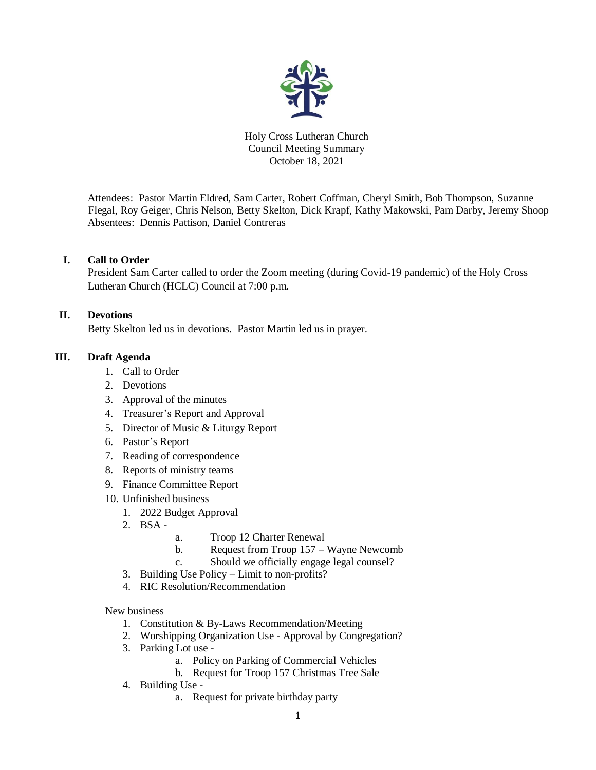

Holy Cross Lutheran Church Council Meeting Summary October 18, 2021

Attendees: Pastor Martin Eldred, Sam Carter, Robert Coffman, Cheryl Smith, Bob Thompson, Suzanne Flegal, Roy Geiger, Chris Nelson, Betty Skelton, Dick Krapf, Kathy Makowski, Pam Darby, Jeremy Shoop Absentees: Dennis Pattison, Daniel Contreras

### **I. Call to Order**

President Sam Carter called to order the Zoom meeting (during Covid-19 pandemic) of the Holy Cross Lutheran Church (HCLC) Council at 7:00 p.m.

## **II. Devotions**

Betty Skelton led us in devotions. Pastor Martin led us in prayer.

## **III. Draft Agenda**

- 1. Call to Order
- 2. Devotions
- 3. Approval of the minutes
- 4. Treasurer's Report and Approval
- 5. Director of Music & Liturgy Report
- 6. Pastor's Report
- 7. Reading of correspondence
- 8. Reports of ministry teams
- 9. Finance Committee Report
- 10. Unfinished business
	- 1. 2022 Budget Approval
	- 2. BSA -
- a. Troop 12 Charter Renewal
- b. Request from Troop 157 Wayne Newcomb
- c. Should we officially engage legal counsel?
- 3. Building Use Policy Limit to non-profits?
- 4. RIC Resolution/Recommendation

New business

- 1. Constitution & By-Laws Recommendation/Meeting
- 2. Worshipping Organization Use Approval by Congregation?
- 3. Parking Lot use
	- a. Policy on Parking of Commercial Vehicles
	- b. Request for Troop 157 Christmas Tree Sale
- 4. Building Use
	- a. Request for private birthday party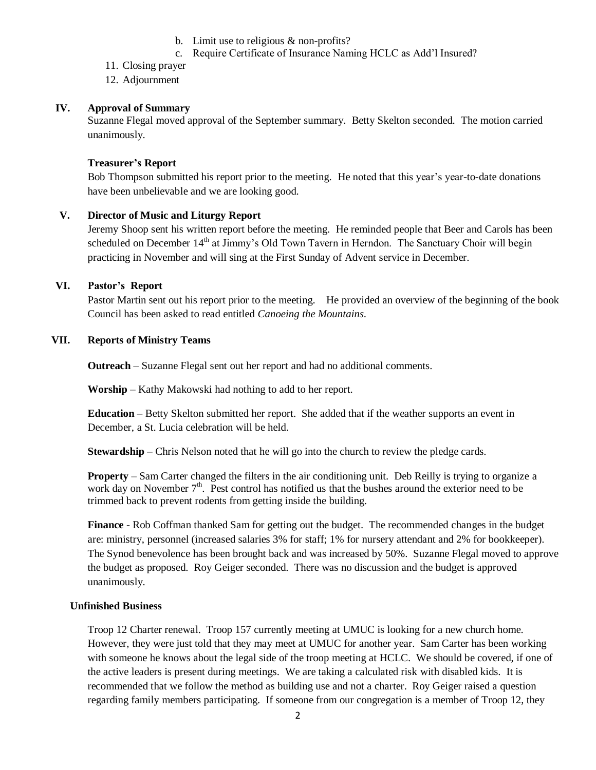- b. Limit use to religious & non-profits?
- c. Require Certificate of Insurance Naming HCLC as Add'l Insured?
- 11. Closing prayer
- 12. Adjournment

# **IV. Approval of Summary**

Suzanne Flegal moved approval of the September summary. Betty Skelton seconded. The motion carried unanimously.

# **Treasurer's Report**

Bob Thompson submitted his report prior to the meeting. He noted that this year's year-to-date donations have been unbelievable and we are looking good.

## **V. Director of Music and Liturgy Report**

Jeremy Shoop sent his written report before the meeting. He reminded people that Beer and Carols has been scheduled on December  $14<sup>th</sup>$  at Jimmy's Old Town Tavern in Herndon. The Sanctuary Choir will begin practicing in November and will sing at the First Sunday of Advent service in December.

## **VI. Pastor's Report**

Pastor Martin sent out his report prior to the meeting. He provided an overview of the beginning of the book Council has been asked to read entitled *Canoeing the Mountains*.

## **VII. Reports of Ministry Teams**

**Outreach** – Suzanne Flegal sent out her report and had no additional comments.

**Worship** – Kathy Makowski had nothing to add to her report.

**Education** – Betty Skelton submitted her report. She added that if the weather supports an event in December, a St. Lucia celebration will be held.

**Stewardship** – Chris Nelson noted that he will go into the church to review the pledge cards.

**Property** – Sam Carter changed the filters in the air conditioning unit. Deb Reilly is trying to organize a work day on November  $7<sup>th</sup>$ . Pest control has notified us that the bushes around the exterior need to be trimmed back to prevent rodents from getting inside the building.

**Finance** - Rob Coffman thanked Sam for getting out the budget. The recommended changes in the budget are: ministry, personnel (increased salaries 3% for staff; 1% for nursery attendant and 2% for bookkeeper). The Synod benevolence has been brought back and was increased by 50%. Suzanne Flegal moved to approve the budget as proposed. Roy Geiger seconded. There was no discussion and the budget is approved unanimously.

### **Unfinished Business**

Troop 12 Charter renewal. Troop 157 currently meeting at UMUC is looking for a new church home. However, they were just told that they may meet at UMUC for another year. Sam Carter has been working with someone he knows about the legal side of the troop meeting at HCLC. We should be covered, if one of the active leaders is present during meetings. We are taking a calculated risk with disabled kids. It is recommended that we follow the method as building use and not a charter. Roy Geiger raised a question regarding family members participating. If someone from our congregation is a member of Troop 12, they